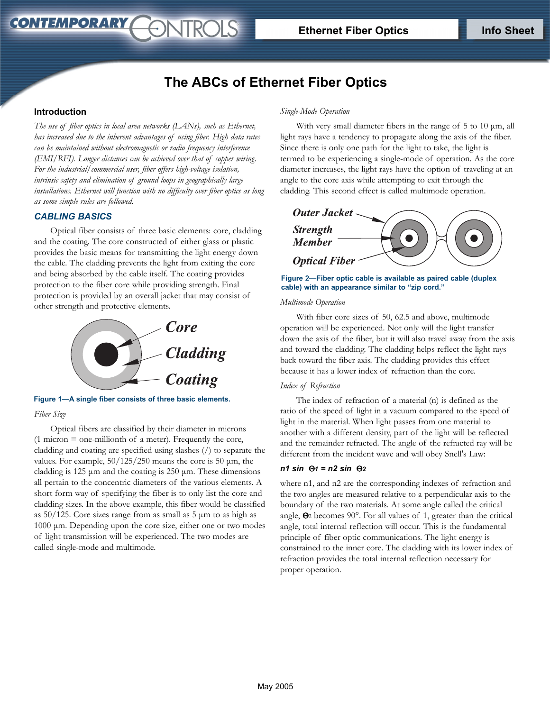# **The ABCs of Ethernet Fiber Optics**

**JTROLS** 

## **Introduction**

CONTEMPORARY

*The use of fiber optics in local area networks (LANs), such as Ethernet, has increased due to the inherent advantages of using fiber. High data rates can be maintained without electromagnetic or radio frequency interference (EMI/RFI). Longer distances can be achieved over that of copper wiring. For the industrial/commercial user, fiber offers high-voltage isolation, intrinsic safety and elimination of ground loops in geographically large installations. Ethernet will function with no difficulty over fiber optics as long as some simple rules are followed.*

## *CABLING BASICS*

Optical fiber consists of three basic elements: core, cladding and the coating. The core constructed of either glass or plastic provides the basic means for transmitting the light energy down the cable. The cladding prevents the light from exiting the core and being absorbed by the cable itself. The coating provides protection to the fiber core while providing strength. Final protection is provided by an overall jacket that may consist of other strength and protective elements.



*Fiber Size* **Figure 1—A single fiber consists of three basic elements.**

Optical fibers are classified by their diameter in microns (1 micron = one-millionth of a meter). Frequently the core, cladding and coating are specified using slashes (/) to separate the values. For example,  $50/125/250$  means the core is 50  $\mu$ m, the cladding is 125 µm and the coating is 250 µm. These dimensions all pertain to the concentric diameters of the various elements. A short form way of specifying the fiber is to only list the core and cladding sizes. In the above example, this fiber would be classified as 50/125. Core sizes range from as small as 5 µm to as high as 1000 µm. Depending upon the core size, either one or two modes of light transmission will be experienced. The two modes are called single-mode and multimode.

#### *Single-Mode Operation*

With very small diameter fibers in the range of  $5$  to  $10 \mu m$ , all light rays have a tendency to propagate along the axis of the fiber. Since there is only one path for the light to take, the light is termed to be experiencing a single-mode of operation. As the core diameter increases, the light rays have the option of traveling at an angle to the core axis while attempting to exit through the cladding. This second effect is called multimode operation.



**Figure 2—Fiber optic cable is available as paired cable (duplex cable) with an appearance similar to "zip cord."**

#### *Multimode Operation*

With fiber core sizes of 50, 62.5 and above, multimode operation will be experienced. Not only will the light transfer down the axis of the fiber, but it will also travel away from the axis and toward the cladding. The cladding helps reflect the light rays back toward the fiber axis. The cladding provides this effect because it has a lower index of refraction than the core.

## *Index of Refraction*

The index of refraction of a material (n) is defined as the ratio of the speed of light in a vacuum compared to the speed of light in the material. When light passes from one material to another with a different density, part of the light will be reflected and the remainder refracted. The angle of the refracted ray will be different from the incident wave and will obey Snell's Law:

#### *n1 sin* Θ*1 = n2 sin* Θ*2*

where n1, and n2 are the corresponding indexes of refraction and the two angles are measured relative to a perpendicular axis to the boundary of the two materials. At some angle called the critical angle, Θ<sup>2</sup> becomes 90°. For all values of 1, greater than the critical angle, total internal reflection will occur. This is the fundamental principle of fiber optic communications. The light energy is constrained to the inner core. The cladding with its lower index of refraction provides the total internal reflection necessary for proper operation.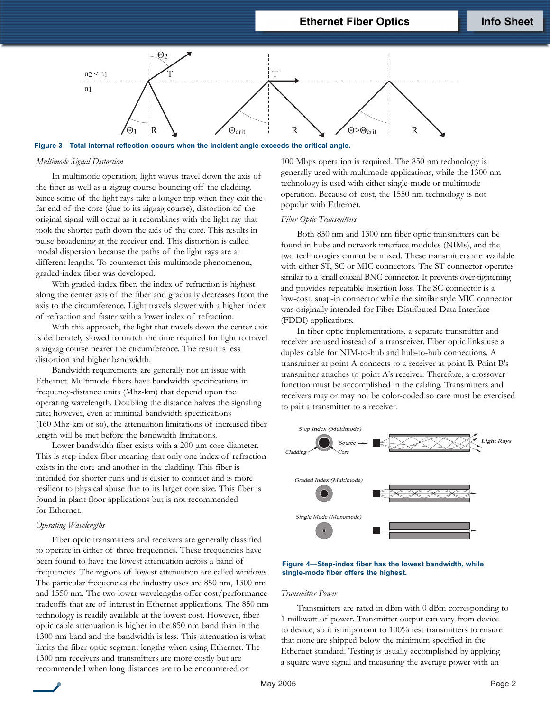

**Figure 3—Total internal reflection occurs when the incident angle exceeds the critical angle.**

## *Multimode Signal Distortion*

In multimode operation, light waves travel down the axis of the fiber as well as a zigzag course bouncing off the cladding. Since some of the light rays take a longer trip when they exit the far end of the core (due to its zigzag course), distortion of the original signal will occur as it recombines with the light ray that took the shorter path down the axis of the core. This results in pulse broadening at the receiver end. This distortion is called modal dispersion because the paths of the light rays are at different lengths. To counteract this multimode phenomenon, graded-index fiber was developed.

With graded-index fiber, the index of refraction is highest along the center axis of the fiber and gradually decreases from the axis to the circumference. Light travels slower with a higher index of refraction and faster with a lower index of refraction.

With this approach, the light that travels down the center axis is deliberately slowed to match the time required for light to travel a zigzag course nearer the circumference. The result is less distortion and higher bandwidth.

Bandwidth requirements are generally not an issue with Ethernet. Multimode fibers have bandwidth specifications in frequency-distance units (Mhz-km) that depend upon the operating wavelength. Doubling the distance halves the signaling rate; however, even at minimal bandwidth specifications (160 Mhz-km or so), the attenuation limitations of increased fiber length will be met before the bandwidth limitations.

Lower bandwidth fiber exists with a 200  $\mu$ m core diameter. This is step-index fiber meaning that only one index of refraction exists in the core and another in the cladding. This fiber is intended for shorter runs and is easier to connect and is more resilient to physical abuse due to its larger core size. This fiber is found in plant floor applications but is not recommended for Ethernet.

#### *Operating Wavelengths*

Fiber optic transmitters and receivers are generally classified to operate in either of three frequencies. These frequencies have been found to have the lowest attenuation across a band of frequencies. The regions of lowest attenuation are called windows. The particular frequencies the industry uses are 850 nm, 1300 nm and 1550 nm. The two lower wavelengths offer cost/performance tradeoffs that are of interest in Ethernet applications. The 850 nm technology is readily available at the lowest cost. However, fiber optic cable attenuation is higher in the 850 nm band than in the 1300 nm band and the bandwidth is less. This attenuation is what limits the fiber optic segment lengths when using Ethernet. The 1300 nm receivers and transmitters are more costly but are recommended when long distances are to be encountered or

100 Mbps operation is required. The 850 nm technology is generally used with multimode applications, while the 1300 nm technology is used with either single-mode or multimode operation. Because of cost, the 1550 nm technology is not popular with Ethernet.

#### *Fiber Optic Transmitters*

Both 850 nm and 1300 nm fiber optic transmitters can be found in hubs and network interface modules (NIMs), and the two technologies cannot be mixed. These transmitters are available with either ST, SC or MIC connectors. The ST connector operates similar to a small coaxial BNC connector. It prevents over-tightening and provides repeatable insertion loss. The SC connector is a low-cost, snap-in connector while the similar style MIC connector was originally intended for Fiber Distributed Data Interface (FDDI) applications.

In fiber optic implementations, a separate transmitter and receiver are used instead of a transceiver. Fiber optic links use a duplex cable for NIM-to-hub and hub-to-hub connections. A transmitter at point A connects to a receiver at point B. Point B's transmitter attaches to point A's receiver. Therefore, a crossover function must be accomplished in the cabling. Transmitters and receivers may or may not be color-coded so care must be exercised to pair a transmitter to a receiver.



#### **Figure 4—Step-index fiber has the lowest bandwidth, while single-mode fiber offers the highest.**

## *Transmitter Power*

Transmitters are rated in dBm with 0 dBm corresponding to 1 milliwatt of power. Transmitter output can vary from device to device, so it is important to 100% test transmitters to ensure that none are shipped below the minimum specified in the Ethernet standard. Testing is usually accomplished by applying a square wave signal and measuring the average power with an

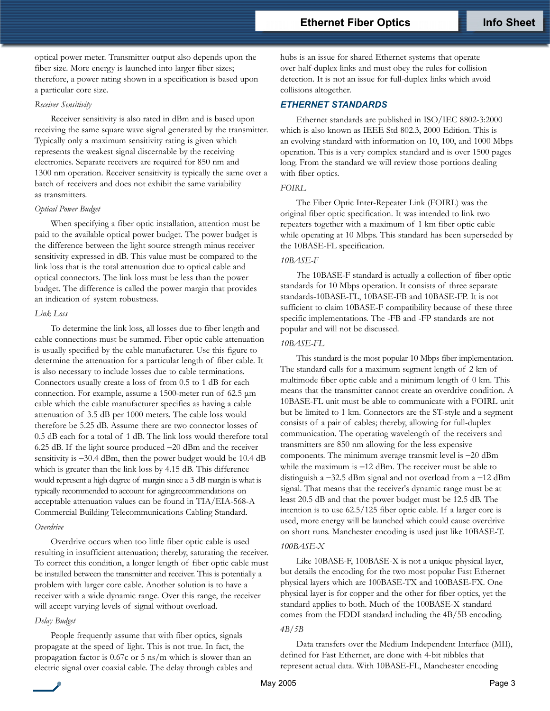## **Ethernet Fiber Optics Info Sheet**

optical power meter. Transmitter output also depends upon the fiber size. More energy is launched into larger fiber sizes; therefore, a power rating shown in a specification is based upon a particular core size.

## *Receiver Sensitivity*

Receiver sensitivity is also rated in dBm and is based upon receiving the same square wave signal generated by the transmitter. Typically only a maximum sensitivity rating is given which represents the weakest signal discernable by the receiving electronics. Separate receivers are required for 850 nm and 1300 nm operation. Receiver sensitivity is typically the same over a batch of receivers and does not exhibit the same variability as transmitters.

#### *Optical Power Budget*

When specifying a fiber optic installation, attention must be paid to the available optical power budget. The power budget is the difference between the light source strength minus receiver sensitivity expressed in dB. This value must be compared to the link loss that is the total attenuation due to optical cable and optical connectors. The link loss must be less than the power budget. The difference is called the power margin that provides an indication of system robustness.

## *Link Loss*

To determine the link loss, all losses due to fiber length and cable connections must be summed. Fiber optic cable attenuation is usually specified by the cable manufacturer. Use this figure to determine the attenuation for a particular length of fiber cable. It is also necessary to include losses due to cable terminations. Connectors usually create a loss of from 0.5 to 1 dB for each connection. For example, assume a 1500-meter run of 62.5 µm cable which the cable manufacturer specifies as having a cable attenuation of 3.5 dB per 1000 meters. The cable loss would therefore be 5.25 dB. Assume there are two connector losses of 0.5 dB each for a total of 1 dB. The link loss would therefore total 6.25 dB. If the light source produced −20 dBm and the receiver sensitivity is -30.4 dBm, then the power budget would be 10.4 dB which is greater than the link loss by 4.15 dB. This difference would represent a high degree of margin since a 3 dB margin is what is typically recommended to account for aging.recommendations on acceptable attenuation values can be found in TIA/EIA-568-A Commercial Building Telecommunications Cabling Standard.

## *Overdrive*

Overdrive occurs when too little fiber optic cable is used resulting in insufficient attenuation; thereby, saturating the receiver. To correct this condition, a longer length of fiber optic cable must be installed between the transmitter and receiver. This is potentially a problem with larger core cable. Another solution is to have a receiver with a wide dynamic range. Over this range, the receiver will accept varying levels of signal without overload.

#### *Delay Budget*

People frequently assume that with fiber optics, signals propagate at the speed of light. This is not true. In fact, the propagation factor is 0.67c or 5 ns/m which is slower than an electric signal over coaxial cable. The delay through cables and hubs is an issue for shared Ethernet systems that operate over half-duplex links and must obey the rules for collision detection. It is not an issue for full-duplex links which avoid collisions altogether.

## *ETHERNET STANDARDS*

Ethernet standards are published in ISO/IEC 8802-3:2000 which is also known as IEEE Std 802.3, 2000 Edition. This is an evolving standard with information on 10, 100, and 1000 Mbps operation. This is a very complex standard and is over 1500 pages long. From the standard we will review those portions dealing with fiber optics.

## *FOIRL*

The Fiber Optic Inter-Repeater Link (FOIRL) was the original fiber optic specification. It was intended to link two repeaters together with a maximum of 1 km fiber optic cable while operating at 10 Mbps. This standard has been superseded by the 10BASE-FL specification.

#### *10BASE-F*

*T*he 10BASE-F standard is actually a collection of fiber optic standards for 10 Mbps operation. It consists of three separate standards-10BASE-FL, 10BASE-FB and 10BASE-FP. It is not sufficient to claim 10BASE-F compatibility because of these three specific implementations. The -FB and -FP standards are not popular and will not be discussed.

#### *10BASE-FL*

This standard is the most popular 10 Mbps fiber implementation. The standard calls for a maximum segment length of 2 km of multimode fiber optic cable and a minimum length of 0 km. This means that the transmitter cannot create an overdrive condition. A 10BASE-FL unit must be able to communicate with a FOIRL unit but be limited to 1 km. Connectors are the ST-style and a segment consists of a pair of cables; thereby, allowing for full-duplex communication. The operating wavelength of the receivers and transmitters are 850 nm allowing for the less expensive components. The minimum average transmit level is −20 dBm while the maximum is −12 dBm. The receiver must be able to distinguish a −32.5 dBm signal and not overload from a −12 dBm signal. That means that the receiver's dynamic range must be at least 20.5 dB and that the power budget must be 12.5 dB. The intention is to use 62.5/125 fiber optic cable. If a larger core is used, more energy will be launched which could cause overdrive on short runs. Manchester encoding is used just like 10BASE-T. *100BASE-X*

Like 10BASE-F, 100BASE-X is not a unique physical layer, but details the encoding for the two most popular Fast Ethernet physical layers which are 100BASE-TX and 100BASE-FX. One physical layer is for copper and the other for fiber optics, yet the standard applies to both. Much of the 100BASE-X standard comes from the FDDI standard including the 4B/5B encoding.

#### *4B/5B*

Data transfers over the Medium Independent Interface (MII), defined for Fast Ethernet, are done with 4-bit nibbles that represent actual data. With 10BASE-FL, Manchester encoding